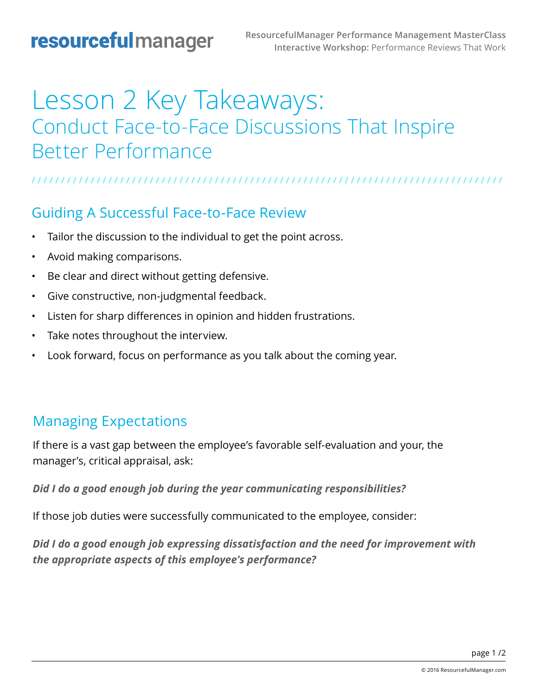# Lesson 2 Key Takeaways: Conduct Face-to-Face Discussions That Inspire Better Performance

#### **/ / / / / / / / / / / / / / / / / / / / / / / / / / / / / / / / / / / / / / / / / / / / / / / / / / / / / / / / / / / / / / / / / / / / / / / / / / / / / / / /**

#### Guiding A Successful Face-to-Face Review

- Tailor the discussion to the individual to get the point across.
- Avoid making comparisons.
- Be clear and direct without getting defensive.
- Give constructive, non-judgmental feedback.
- Listen for sharp differences in opinion and hidden frustrations.
- Take notes throughout the interview.
- Look forward, focus on performance as you talk about the coming year.

#### Managing Expectations

If there is a vast gap between the employee's favorable self-evaluation and your, the manager's, critical appraisal, ask:

*Did I do a good enough job during the year communicating responsibilities?*

If those job duties were successfully communicated to the employee, consider:

*Did I do a good enough job expressing dissatisfaction and the need for improvement with the appropriate aspects of this employee's performance?*